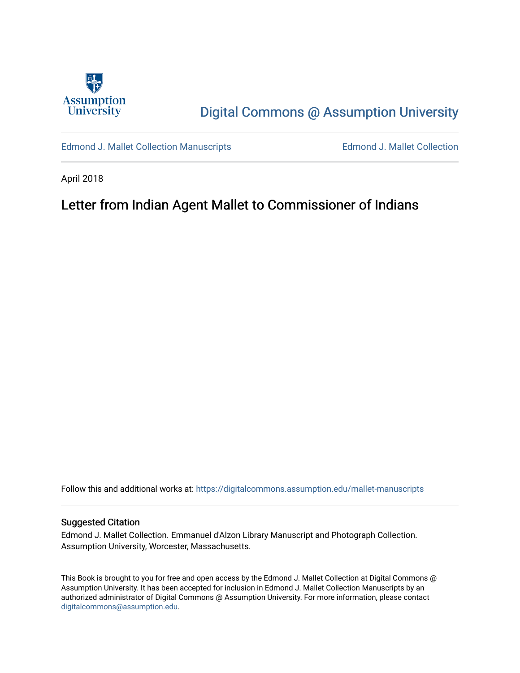

# [Digital Commons @ Assumption University](https://digitalcommons.assumption.edu/)

[Edmond J. Mallet Collection Manuscripts](https://digitalcommons.assumption.edu/mallet-manuscripts) **Edmond J. Mallet Collection** 

April 2018

## Letter from Indian Agent Mallet to Commissioner of Indians

Follow this and additional works at: [https://digitalcommons.assumption.edu/mallet-manuscripts](https://digitalcommons.assumption.edu/mallet-manuscripts?utm_source=digitalcommons.assumption.edu%2Fmallet-manuscripts%2F19&utm_medium=PDF&utm_campaign=PDFCoverPages) 

#### Suggested Citation

Edmond J. Mallet Collection. Emmanuel d'Alzon Library Manuscript and Photograph Collection. Assumption University, Worcester, Massachusetts.

This Book is brought to you for free and open access by the Edmond J. Mallet Collection at Digital Commons @ Assumption University. It has been accepted for inclusion in Edmond J. Mallet Collection Manuscripts by an authorized administrator of Digital Commons @ Assumption University. For more information, please contact [digitalcommons@assumption.edu](mailto:digitalcommons@assumption.edu).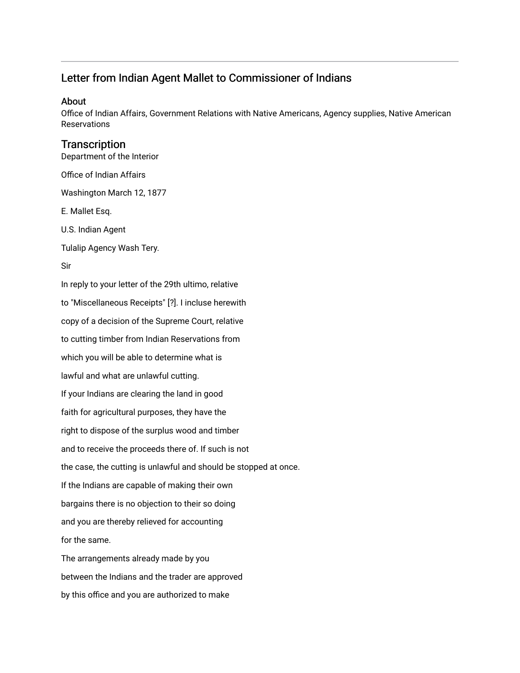## Letter from Indian Agent Mallet to Commissioner of Indians

#### About

Office of Indian Affairs, Government Relations with Native Americans, Agency supplies, Native American Reservations

### **Transcription**

Department of the Interior

Office of Indian Affairs

Washington March 12, 1877

E. Mallet Esq.

U.S. Indian Agent

Tulalip Agency Wash Tery.

#### Sir

In reply to your letter of the 29th ultimo, relative to "Miscellaneous Receipts" [?]. I incluse herewith copy of a decision of the Supreme Court, relative to cutting timber from Indian Reservations from which you will be able to determine what is lawful and what are unlawful cutting. If your Indians are clearing the land in good faith for agricultural purposes, they have the right to dispose of the surplus wood and timber and to receive the proceeds there of. If such is not the case, the cutting is unlawful and should be stopped at once. If the Indians are capable of making their own bargains there is no objection to their so doing and you are thereby relieved for accounting for the same. The arrangements already made by you

between the Indians and the trader are approved by this office and you are authorized to make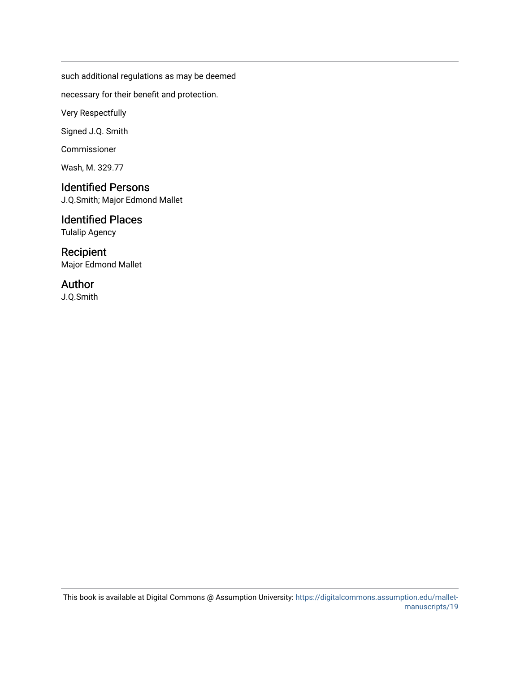such additional regulations as may be deemed

necessary for their benefit and protection.

Very Respectfully

Signed J.Q. Smith

Commissioner

Wash, M. 329.77

## Identified Persons

J.Q.Smith; Major Edmond Mallet

## Identified Places

Tulalip Agency

## Recipient

Major Edmond Mallet

## Author

J.Q.Smith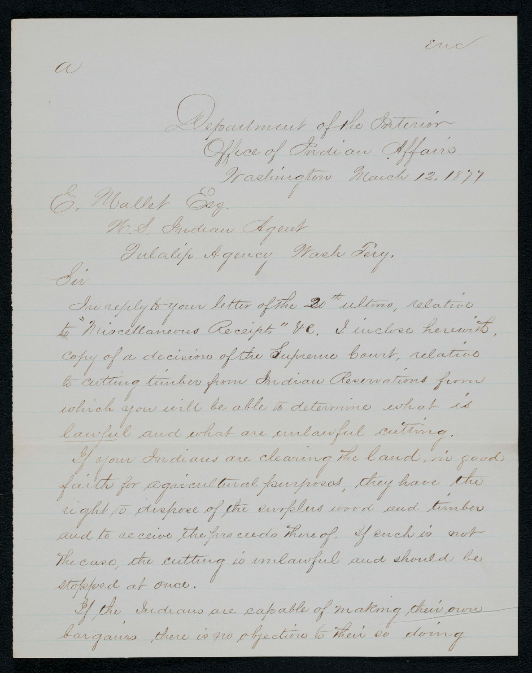End  $\omega$ Department of the Porterion Fractuington March 12.1877 N.S. Indian Agent Pulalip Agency Wash Pery. Sir<sup>.</sup> In reply to your letter of the 20 th ultimo, relative to Niscellanevus Receipts" He, I incluse herewith, Copy of a decision of the Supreme board, relative to cutting tunker from Indian Reservations from which you will be able to determine what is lawful and what are unlawful cutting. If your Indians are clearing the land, no good faith for agained tural fourpreas, they have the right to dispose of the emplois wood and timber and to receive the proceeds there of, If each is not The case, the cutting is inclawful and should be stopped at once. If the Indians are capable of making their own bargames there is no objective to their es doing